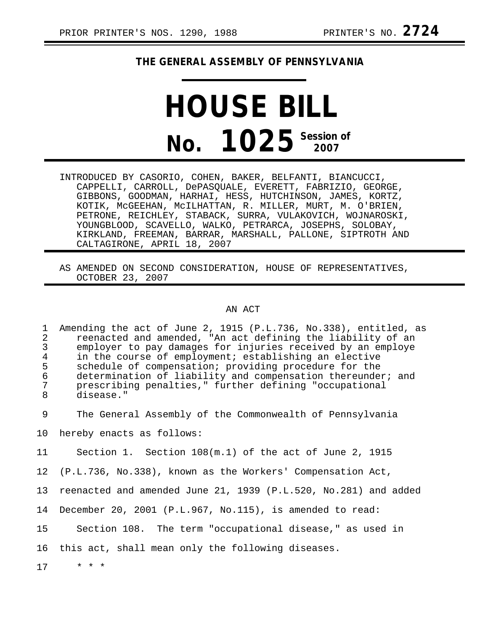## **THE GENERAL ASSEMBLY OF PENNSYLVANIA**

## **HOUSE BILL No. 1025** Session of

- INTRODUCED BY CASORIO, COHEN, BAKER, BELFANTI, BIANCUCCI, CAPPELLI, CARROLL, DePASQUALE, EVERETT, FABRIZIO, GEORGE, GIBBONS, GOODMAN, HARHAI, HESS, HUTCHINSON, JAMES, KORTZ, KOTIK, McGEEHAN, McILHATTAN, R. MILLER, MURT, M. O'BRIEN, PETRONE, REICHLEY, STABACK, SURRA, VULAKOVICH, WOJNAROSKI, YOUNGBLOOD, SCAVELLO, WALKO, PETRARCA, JOSEPHS, SOLOBAY, KIRKLAND, FREEMAN, BARRAR, MARSHALL, PALLONE, SIPTROTH AND CALTAGIRONE, APRIL 18, 2007
- AS AMENDED ON SECOND CONSIDERATION, HOUSE OF REPRESENTATIVES, OCTOBER 23, 2007

## AN ACT

1 Amending the act of June 2, 1915 (P.L.736, No.338), entitled, as<br>2 reenacted and amended, "An act defining the liability of an 2 reenacted and amended, "An act defining the liability of an<br>3 emplover to pay damages for injuries received by an emplove 3 employer to pay damages for injuries received by an employe<br>4 in the course of employment; establishing an elective 4 in the course of employment; establishing an elective<br>5 schedule of compensation; providing procedure for the 5 schedule of compensation; providing procedure for the<br>6 determination of liability and compensation thereunde 6 determination of liability and compensation thereunder; and<br>7 mescribing penalties." further defining "occupational 7 prescribing penalties," further defining "occupational disease."

9 The General Assembly of the Commonwealth of Pennsylvania

10 hereby enacts as follows:

11 Section 1. Section 108(m.1) of the act of June 2, 1915

12 (P.L.736, No.338), known as the Workers' Compensation Act,

13 reenacted and amended June 21, 1939 (P.L.520, No.281) and added

14 December 20, 2001 (P.L.967, No.115), is amended to read:

15 Section 108. The term "occupational disease," as used in

16 this act, shall mean only the following diseases.

17 \* \* \*